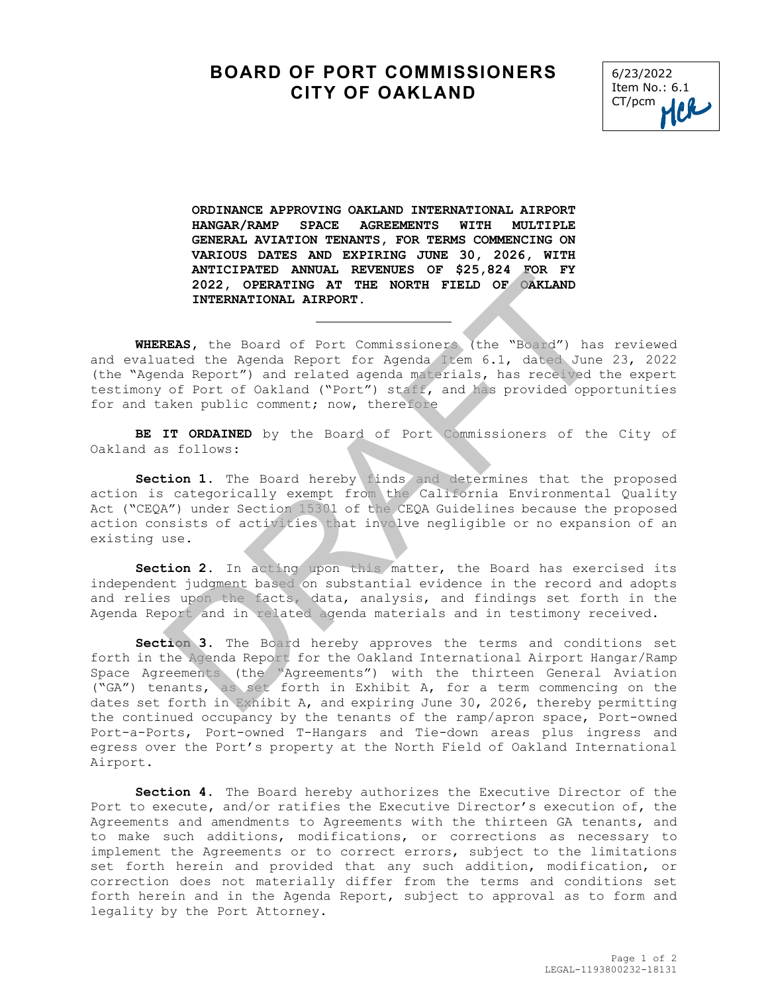## **BOARD OF PORT COMMISSIONERS CITY OF OAKLAND**



**ORDINANCE APPROVING OAKLAND INTERNATIONAL AIRPORT HANGAR/RAMP SPACE AGREEMENTS WITH MULTIPLE GENERAL AVIATION TENANTS, FOR TERMS COMMENCING ON VARIOUS DATES AND EXPIRING JUNE 30, 2026, WITH ANTICIPATED ANNUAL REVENUES OF \$25,824 FOR FY 2022, OPERATING AT THE NORTH FIELD OF OAKLAND INTERNATIONAL AIRPORT.**

**WHEREAS,** the Board of Port Commissioners (the "Board") has reviewed and evaluated the Agenda Report for Agenda Item 6.1, dated June 23, 2022 (the "Agenda Report") and related agenda materials, has received the expert testimony of Port of Oakland ("Port") staff, and has provided opportunities for and taken public comment; now, therefore

ı

**BE IT ORDAINED** by the Board of Port Commissioners of the City of Oakland as follows:

**Section 1.** The Board hereby finds and determines that the proposed action is categorically exempt from the California Environmental Quality Act ("CEQA") under Section 15301 of the CEQA Guidelines because the proposed action consists of activities that involve negligible or no expansion of an existing use.

**Section 2.** In acting upon this matter, the Board has exercised its independent judgment based on substantial evidence in the record and adopts and relies upon the facts, data, analysis, and findings set forth in the Agenda Report and in related agenda materials and in testimony received.

**Section 3.** The Board hereby approves the terms and conditions set forth in the Agenda Report for the Oakland International Airport Hangar/Ramp Space Agreements (the "Agreements") with the thirteen General Aviation ("GA") tenants, as set forth in Exhibit A, for a term commencing on the dates set forth in Exhibit A, and expiring June 30, 2026, thereby permitting the continued occupancy by the tenants of the ramp/apron space, Port-owned Port-a-Ports, Port-owned T-Hangars and Tie-down areas plus ingress and egress over the Port's property at the North Field of Oakland International Airport. ANTICIPATED ARNALL MANULLE AND DESIGNER TO SAMPATION AT THE NORTH FIELD OF ORKLAND<br>INTERNATIONAL AIRPORT. INDEXPANSION INTERNATION INTERNATIONAL AIRPORT.<br>
REAS, the Board of Port Commissioners (the "Board") has<br>
ated the A

**Section 4.** The Board hereby authorizes the Executive Director of the Port to execute, and/or ratifies the Executive Director's execution of, the Agreements and amendments to Agreements with the thirteen GA tenants, and to make such additions, modifications, or corrections as necessary to implement the Agreements or to correct errors, subject to the limitations set forth herein and provided that any such addition, modification, or correction does not materially differ from the terms and conditions set forth herein and in the Agenda Report, subject to approval as to form and legality by the Port Attorney.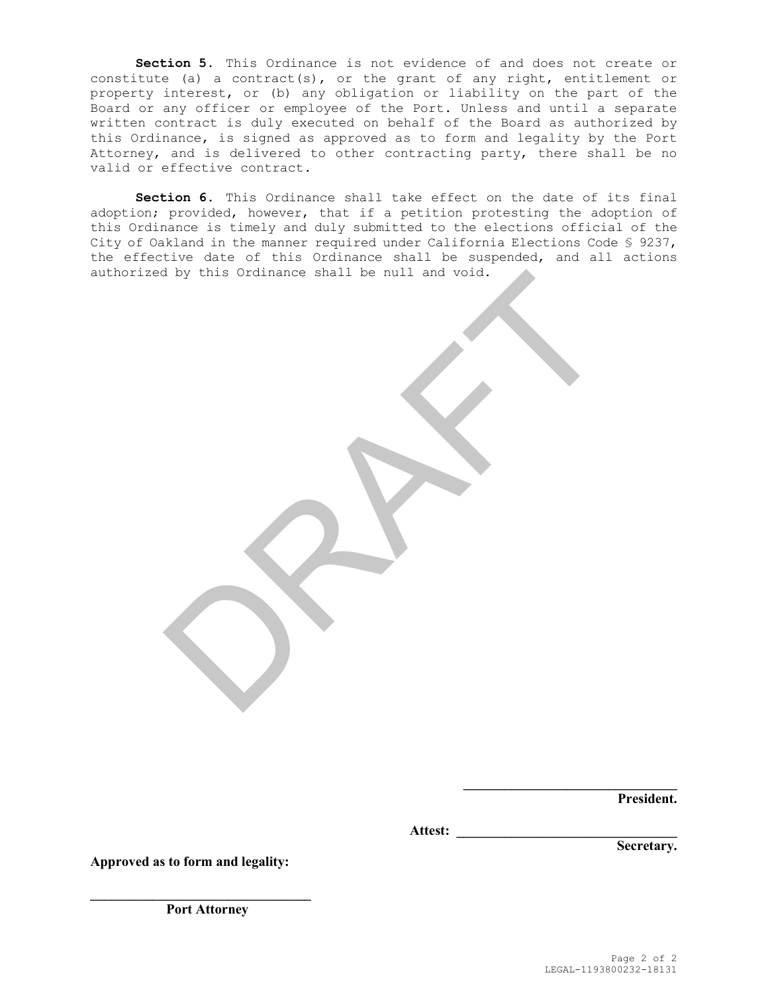**Section 5.** This Ordinance is not evidence of and does not create or constitute (a) a contract(s), or the grant of any right, entitlement or property interest, or (b) any obligation or liability on the part of the Board or any officer or employee of the Port. Unless and until a separate written contract is duly executed on behalf of the Board as authorized by this Ordinance, is signed as approved as to form and legality by the Port Attorney, and is delivered to other contracting party, there shall be no valid or effective contract**.** 

**Section 6.** This Ordinance shall take effect on the date of its final adoption; provided, however, that if a petition protesting the adoption of this Ordinance is timely and duly submitted to the elections official of the City of Oakland in the manner required under California Elections Code § 9237, the effective date of this Ordinance shall be suspended, and all actions authorized by this Ordinance shall be null and void. Fig this Ordinance shall be null and void.

**President.**

**Attest: \_\_\_\_\_\_\_\_\_\_\_\_\_\_\_\_\_\_\_\_\_\_\_\_\_\_\_\_\_\_\_\_** 

**Secretary.**

**Approved as to form and legality:**

**\_\_\_\_\_\_\_\_\_\_\_\_\_\_\_\_\_\_\_\_\_\_\_\_\_\_\_\_\_\_\_\_ Port Attorney** 

**\_\_\_\_\_\_\_\_\_\_\_\_\_\_\_\_\_\_\_\_\_\_\_\_\_\_\_\_\_\_\_**